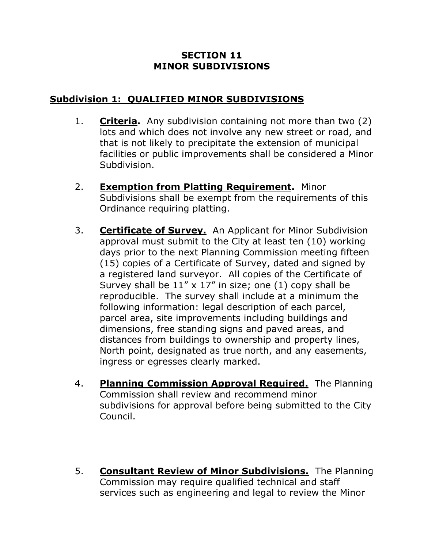## **SECTION 11 MINOR SUBDIVISIONS**

## **Subdivision 1: QUALIFIED MINOR SUBDIVISIONS**

- 1. **Criteria.** Any subdivision containing not more than two (2) lots and which does not involve any new street or road, and that is not likely to precipitate the extension of municipal facilities or public improvements shall be considered a Minor Subdivision.
- 2. **Exemption from Platting Requirement.** Minor Subdivisions shall be exempt from the requirements of this Ordinance requiring platting.
- 3. **Certificate of Survey.** An Applicant for Minor Subdivision approval must submit to the City at least ten (10) working days prior to the next Planning Commission meeting fifteen (15) copies of a Certificate of Survey, dated and signed by a registered land surveyor. All copies of the Certificate of Survey shall be  $11'' \times 17''$  in size; one (1) copy shall be reproducible. The survey shall include at a minimum the following information: legal description of each parcel, parcel area, site improvements including buildings and dimensions, free standing signs and paved areas, and distances from buildings to ownership and property lines, North point, designated as true north, and any easements, ingress or egresses clearly marked.
- 4. **Planning Commission Approval Required.** The Planning Commission shall review and recommend minor subdivisions for approval before being submitted to the City Council.
- 5. **Consultant Review of Minor Subdivisions.** The Planning Commission may require qualified technical and staff services such as engineering and legal to review the Minor